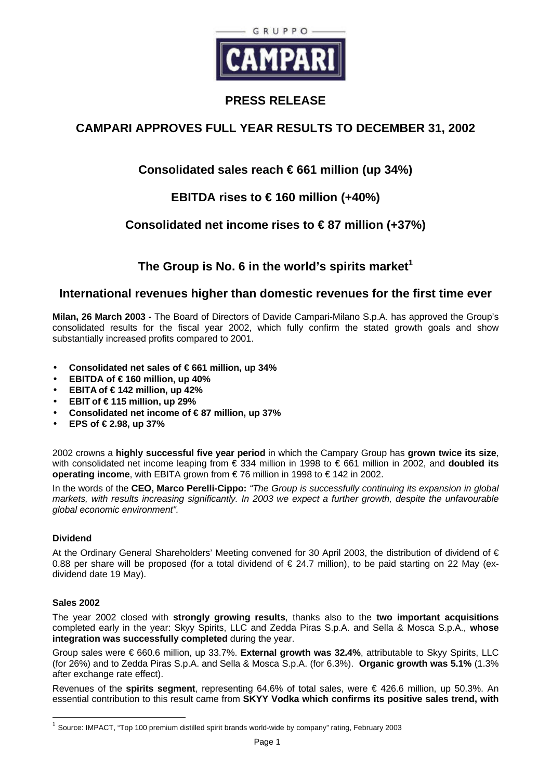

# **PRESS RELEASE**

# **CAMPARI APPROVES FULL YEAR RESULTS TO DECEMBER 31, 2002**

# **Consolidated sales reach € 661 million (up 34%)**

# **EBITDA rises to € 160 million (+40%)**

# **Consolidated net income rises to € 87 million (+37%)**

# **The Group is No. 6 in the world's spirits market<sup>1</sup>**

## **International revenues higher than domestic revenues for the first time ever**

**Milan, 26 March 2003 -** The Board of Directors of Davide Campari-Milano S.p.A. has approved the Group's consolidated results for the fiscal year 2002, which fully confirm the stated growth goals and show substantially increased profits compared to 2001.

- **Consolidated net sales of € 661 million, up 34%**
- $\bullet$  **EBITDA of**  $\in$  **160 million, up 40%**
- **EBITA of € 142 million, up 42%**
- **EBIT of € 115 million, up 29%**
- **Consolidated net income of € 87 million, up 37%**
- **EPS of € 2.98, up 37%**

2002 crowns a **highly successful five year period** in which the Campary Group has **grown twice its size**, with consolidated net income leaping from € 334 million in 1998 to € 661 million in 2002, and **doubled its operating income**, with EBITA grown from € 76 million in 1998 to € 142 in 2002.

In the words of the **CEO, Marco Perelli-Cippo:** *"The Group is successfully continuing its expansion in global markets, with results increasing significantly. In 2003 we expect a further growth, despite the unfavourable global economic environment".*

### **Dividend**

At the Ordinary General Shareholders' Meeting convened for 30 April 2003, the distribution of dividend of € 0.88 per share will be proposed (for a total dividend of  $\epsilon$  24.7 million), to be paid starting on 22 May (exdividend date 19 May).

### **Sales 2002**

 $\overline{a}$ 

The year 2002 closed with **strongly growing results**, thanks also to the **two important acquisitions** completed early in the year: Skyy Spirits, LLC and Zedda Piras S.p.A. and Sella & Mosca S.p.A., **whose integration was successfully completed** during the year.

Group sales were € 660.6 million, up 33.7%. **External growth was 32.4%**, attributable to Skyy Spirits, LLC (for 26%) and to Zedda Piras S.p.A. and Sella & Mosca S.p.A. (for 6.3%). **Organic growth was 5.1%** (1.3% after exchange rate effect).

Revenues of the **spirits segment**, representing 64.6% of total sales, were € 426.6 million, up 50.3%. An essential contribution to this result came from **SKYY Vodka which confirms its positive sales trend, with**

 $^1$  Source: IMPACT, "Top 100 premium distilled spirit brands world-wide by company" rating, February 2003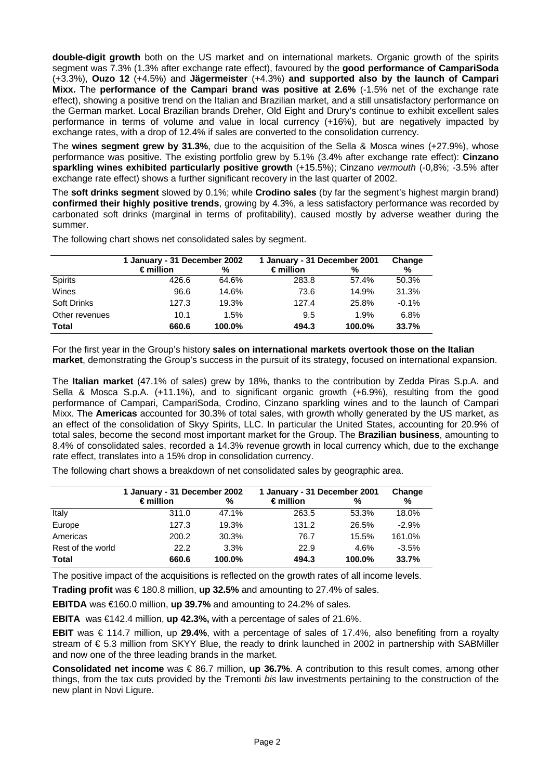**double-digit growth** both on the US market and on international markets. Organic growth of the spirits segment was 7.3% (1.3% after exchange rate effect), favoured by the **good performance of CampariSoda** (+3.3%), **Ouzo 12** (+4.5%) and **Jägermeister** (+4.3%) **and supported also by the launch of Campari Mixx.** The **performance of the Campari brand was positive at 2.6%** (-1.5% net of the exchange rate effect), showing a positive trend on the Italian and Brazilian market, and a still unsatisfactory performance on the German market. Local Brazilian brands Dreher, Old Eight and Drury's continue to exhibit excellent sales performance in terms of volume and value in local currency (+16%), but are negatively impacted by exchange rates, with a drop of 12.4% if sales are converted to the consolidation currency.

The **wines segment grew by 31.3%**, due to the acquisition of the Sella & Mosca wines (+27.9%), whose performance was positive. The existing portfolio grew by 5.1% (3.4% after exchange rate effect): **Cinzano sparkling wines exhibited particularly positive growth** (+15.5%); Cinzano *vermouth* (-0,8%; -3.5% after exchange rate effect) shows a further significant recovery in the last quarter of 2002.

The **soft drinks segment** slowed by 0.1%; while **Crodino sales** (by far the segment's highest margin brand) **confirmed their highly positive trends**, growing by 4.3%, a less satisfactory performance was recorded by carbonated soft drinks (marginal in terms of profitability), caused mostly by adverse weather during the summer.

|                    | 1 January - 31 December 2002 |        | 1 January - 31 December 2001 | Change |         |
|--------------------|------------------------------|--------|------------------------------|--------|---------|
|                    | $\epsilon$ million           | %      | $\epsilon$ million           | %      | %       |
| <b>Spirits</b>     | 426.6                        | 64.6%  | 283.8                        | 57.4%  | 50.3%   |
| Wines              | 96.6                         | 14.6%  | 73.6                         | 14.9%  | 31.3%   |
| <b>Soft Drinks</b> | 127.3                        | 19.3%  | 127.4                        | 25.8%  | $-0.1%$ |
| Other revenues     | 10.1                         | 1.5%   | 9.5                          | 1.9%   | 6.8%    |
| <b>Total</b>       | 660.6                        | 100.0% | 494.3                        | 100.0% | 33.7%   |

The following chart shows net consolidated sales by segment.

For the first year in the Group's history **sales on international markets overtook those on the Italian market**, demonstrating the Group's success in the pursuit of its strategy, focused on international expansion.

The **Italian market** (47.1% of sales) grew by 18%, thanks to the contribution by Zedda Piras S.p.A. and Sella & Mosca S.p.A. (+11.1%), and to significant organic growth (+6.9%), resulting from the good performance of Campari, CampariSoda, Crodino, Cinzano sparkling wines and to the launch of Campari Mixx. The **Americas** accounted for 30.3% of total sales, with growth wholly generated by the US market, as an effect of the consolidation of Skyy Spirits, LLC. In particular the United States, accounting for 20.9% of total sales, become the second most important market for the Group. The **Brazilian business**, amounting to 8.4% of consolidated sales, recorded a 14.3% revenue growth in local currency which, due to the exchange rate effect, translates into a 15% drop in consolidation currency.

The following chart shows a breakdown of net consolidated sales by geographic area.

|                   | 1 January - 31 December 2002 |        | 1 January - 31 December 2001 | Change |         |
|-------------------|------------------------------|--------|------------------------------|--------|---------|
|                   | $\epsilon$ million           | %      | $\epsilon$ million           | %      | %       |
| Italy             | 311.0                        | 47.1%  | 263.5                        | 53.3%  | 18.0%   |
| Europe            | 127.3                        | 19.3%  | 131.2                        | 26.5%  | $-2.9%$ |
| Americas          | 200.2                        | 30.3%  | 76.7                         | 15.5%  | 161.0%  |
| Rest of the world | 22.2                         | 3.3%   | 22.9                         | 4.6%   | $-3.5%$ |
| <b>Total</b>      | 660.6                        | 100.0% | 494.3                        | 100.0% | 33.7%   |

The positive impact of the acquisitions is reflected on the growth rates of all income levels.

**Trading profit** was  $€ 180.8$  million, **up 32.5%** and amounting to 27.4% of sales.

**EBITDA** was €160.0 million, **up 39.7%** and amounting to 24.2% of sales.

**EBITA** was €142.4 million, **up 42.3%,** with a percentage of sales of 21.6%.

**EBIT** was € 114.7 million, up **29.4%**, with a percentage of sales of 17.4%, also benefiting from a royalty stream of € 5.3 million from SKYY Blue, the ready to drink launched in 2002 in partnership with SABMiller and now one of the three leading brands in the market.

**Consolidated net income** was € 86.7 million, **up 36.7%**. A contribution to this result comes, among other things, from the tax cuts provided by the Tremonti *bis* law investments pertaining to the construction of the new plant in Novi Ligure.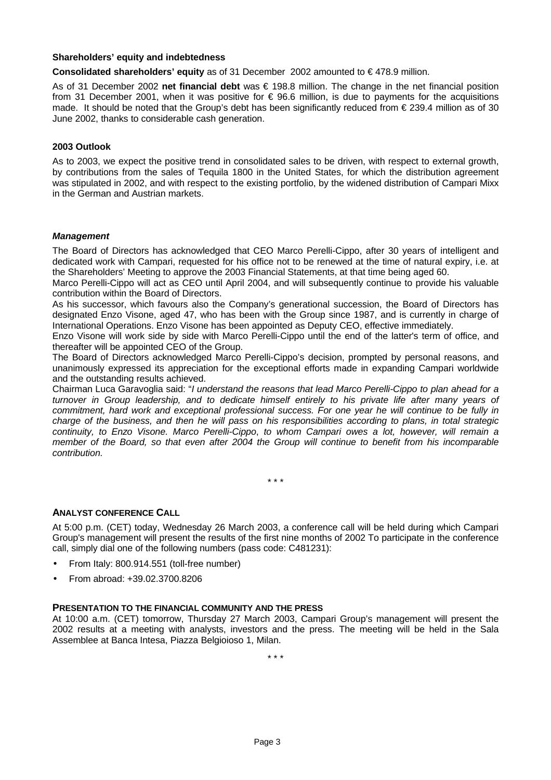#### **Shareholders' equity and indebtedness**

**Consolidated shareholders' equity** as of 31 December 2002 amounted to € 478.9 million.

As of 31 December 2002 **net financial debt** was € 198.8 million. The change in the net financial position from 31 December 2001, when it was positive for  $\epsilon$  96.6 million, is due to payments for the acquisitions made. It should be noted that the Group's debt has been significantly reduced from € 239.4 million as of 30 June 2002, thanks to considerable cash generation.

#### **2003 Outlook**

As to 2003, we expect the positive trend in consolidated sales to be driven, with respect to external growth, by contributions from the sales of Tequila 1800 in the United States, for which the distribution agreement was stipulated in 2002, and with respect to the existing portfolio, by the widened distribution of Campari Mixx in the German and Austrian markets.

#### *Management*

The Board of Directors has acknowledged that CEO Marco Perelli-Cippo, after 30 years of intelligent and dedicated work with Campari, requested for his office not to be renewed at the time of natural expiry, i.e. at the Shareholders' Meeting to approve the 2003 Financial Statements, at that time being aged 60.

Marco Perelli-Cippo will act as CEO until April 2004, and will subsequently continue to provide his valuable contribution within the Board of Directors.

As his successor, which favours also the Company's generational succession, the Board of Directors has designated Enzo Visone, aged 47, who has been with the Group since 1987, and is currently in charge of International Operations. Enzo Visone has been appointed as Deputy CEO, effective immediately.

Enzo Visone will work side by side with Marco Perelli-Cippo until the end of the latter's term of office, and thereafter will be appointed CEO of the Group.

The Board of Directors acknowledged Marco Perelli-Cippo's decision, prompted by personal reasons, and unanimously expressed its appreciation for the exceptional efforts made in expanding Campari worldwide and the outstanding results achieved.

Chairman Luca Garavoglia said: "*I understand the reasons that lead Marco Perelli-Cippo to plan ahead for a turnover in Group leadership, and to dedicate himself entirely to his private life after many years of commitment, hard work and exceptional professional success. For one year he will continue to be fully in charge of the business, and then he will pass on his responsibilities according to plans, in total strategic continuity, to Enzo Visone. Marco Perelli-Cippo*, *to whom Campari owes a lot, however, will remain a member of the Board, so that even after 2004 the Group will continue to benefit from his incomparable contribution.*

\* \* \*

### **ANALYST CONFERENCE CALL**

At 5:00 p.m. (CET) today, Wednesday 26 March 2003, a conference call will be held during which Campari Group's management will present the results of the first nine months of 2002 To participate in the conference call, simply dial one of the following numbers (pass code: C481231):

- From Italy: 800.914.551 (toll-free number)
- From abroad: +39.02.3700.8206

#### **PRESENTATION TO THE FINANCIAL COMMUNITY AND THE PRESS**

At 10:00 a.m. (CET) tomorrow, Thursday 27 March 2003, Campari Group's management will present the 2002 results at a meeting with analysts, investors and the press. The meeting will be held in the Sala Assemblee at Banca Intesa, Piazza Belgioioso 1, Milan.

\* \* \*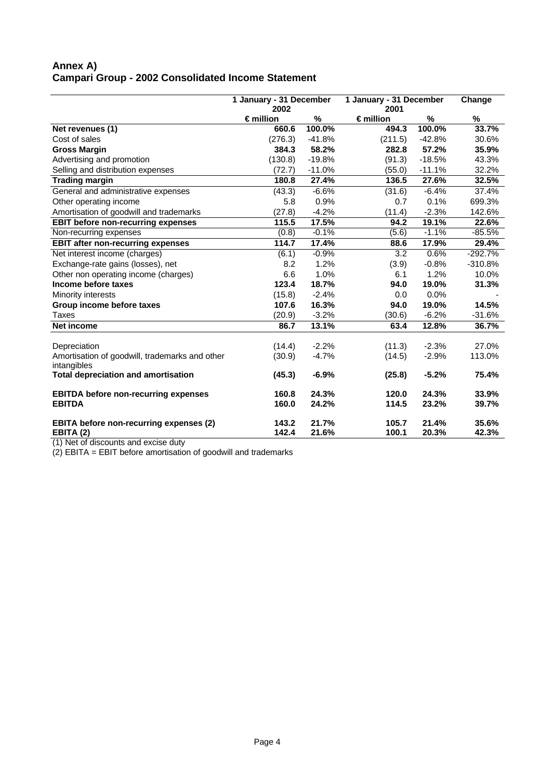### **Annex A) Campari Group - 2002 Consolidated Income Statement**

|                                                | 1 January - 31 December    |             | 1 January - 31 December    |          | Change    |
|------------------------------------------------|----------------------------|-------------|----------------------------|----------|-----------|
|                                                | 2002<br>$\epsilon$ million |             | 2001<br>$\epsilon$ million | %        | %         |
|                                                | 660.6                      | %<br>100.0% | 494.3                      | 100.0%   | 33.7%     |
| Net revenues (1)<br>Cost of sales              |                            |             |                            |          |           |
|                                                | (276.3)                    | $-41.8%$    | (211.5)                    | $-42.8%$ | 30.6%     |
| <b>Gross Margin</b>                            | 384.3                      | 58.2%       | 282.8                      | 57.2%    | 35.9%     |
| Advertising and promotion                      | (130.8)                    | $-19.8%$    | (91.3)                     | $-18.5%$ | 43.3%     |
| Selling and distribution expenses              | (72.7)                     | $-11.0%$    | (55.0)                     | $-11.1%$ | 32.2%     |
| <b>Trading margin</b>                          | 180.8                      | 27.4%       | 136.5                      | 27.6%    | 32.5%     |
| General and administrative expenses            | (43.3)                     | $-6.6%$     | (31.6)                     | $-6.4%$  | 37.4%     |
| Other operating income                         | 5.8                        | 0.9%        | 0.7                        | 0.1%     | 699.3%    |
| Amortisation of goodwill and trademarks        | (27.8)                     | $-4.2%$     | (11.4)                     | $-2.3%$  | 142.6%    |
| <b>EBIT before non-recurring expenses</b>      | 115.5                      | 17.5%       | 94.2                       | 19.1%    | 22.6%     |
| Non-recurring expenses                         | (0.8)                      | $-0.1%$     | (5.6)                      | $-1.1%$  | -85.5%    |
| <b>EBIT after non-recurring expenses</b>       | 114.7                      | 17.4%       | 88.6                       | 17.9%    | 29.4%     |
| Net interest income (charges)                  | (6.1)                      | $-0.9%$     | 3.2                        | 0.6%     | $-292.7%$ |
| Exchange-rate gains (losses), net              | 8.2                        | 1.2%        | (3.9)                      | $-0.8%$  | $-310.8%$ |
| Other non operating income (charges)           | 6.6                        | 1.0%        | 6.1                        | 1.2%     | 10.0%     |
| Income before taxes                            | 123.4                      | 18.7%       | 94.0                       | 19.0%    | 31.3%     |
| Minority interests                             | (15.8)                     | $-2.4%$     | 0.0                        | 0.0%     |           |
| Group income before taxes                      | 107.6                      | 16.3%       | 94.0                       | 19.0%    | 14.5%     |
| Taxes                                          | (20.9)                     | $-3.2%$     | (30.6)                     | $-6.2%$  | $-31.6%$  |
| <b>Net income</b>                              | 86.7                       | 13.1%       | 63.4                       | 12.8%    | 36.7%     |
| Depreciation                                   | (14.4)                     | $-2.2%$     | (11.3)                     | $-2.3%$  | 27.0%     |
| Amortisation of goodwill, trademarks and other | (30.9)                     | $-4.7%$     | (14.5)                     | $-2.9%$  | 113.0%    |
| intangibles                                    |                            |             |                            |          |           |
| <b>Total depreciation and amortisation</b>     | (45.3)                     | $-6.9%$     | (25.8)                     | $-5.2%$  | 75.4%     |
| <b>EBITDA before non-recurring expenses</b>    | 160.8                      | 24.3%       | 120.0                      | 24.3%    | 33.9%     |
| <b>EBITDA</b>                                  | 160.0                      | 24.2%       | 114.5                      | 23.2%    | 39.7%     |
| <b>EBITA before non-recurring expenses (2)</b> | 143.2                      | 21.7%       | 105.7                      | 21.4%    | 35.6%     |
| EBITA (2)                                      | 142.4                      | 21.6%       | 100.1                      | 20.3%    | 42.3%     |

(1) Net of discounts and excise duty

(2) EBITA = EBIT before amortisation of goodwill and trademarks